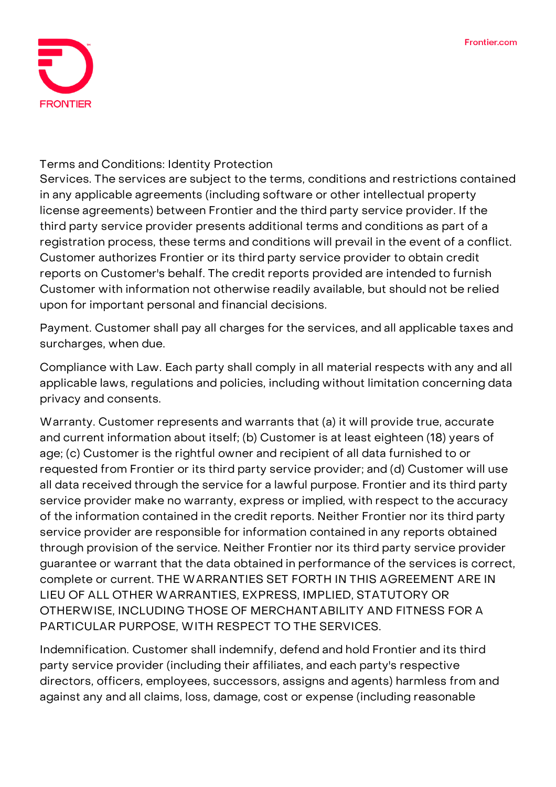

## **Terms and Conditions: Identity Protection**

**Services.** The services are subject to the terms, conditions and restrictions contained in any applicable agreements (including software or other intellectual property license agreements) between Frontier and the third party service provider. If the third party service provider presents additional terms and conditions as part of a registration process, these terms and conditions will prevail in the event of a conflict. Customer authorizes Frontier or its third party service provider to obtain credit reports on Customer's behalf. The credit reports provided are intended to furnish Customer with information not otherwise readily available, but should not be relied upon for important personal and financial decisions.

**Payment.** Customer shall pay all charges for the services, and all applicable taxes and surcharges, when due.

**Compliance with Law.** Each party shall comply in all material respects with any and all applicable laws, regulations and policies, including without limitation concerning data privacy and consents.

**Warranty.** Customer represents and warrants that (a) it will provide true, accurate and current information about itself; (b) Customer is at least eighteen (18) years of age; (c) Customer is the rightful owner and recipient of all data furnished to or requested from Frontier or its third party service provider; and (d) Customer will use all data received through the service for a lawful purpose. Frontier and its third party service provider make no warranty, express or implied, with respect to the accuracy of the information contained in the credit reports. Neither Frontier nor its third party service provider are responsible for information contained in any reports obtained through provision of the service. Neither Frontier nor its third party service provider guarantee or warrant that the data obtained in performance of the services is correct, complete or current. THE WARRANTIES SET FORTH IN THIS AGREEMENT ARE IN LIEU OF ALL OTHER WARRANTIES, EXPRESS, IMPLIED, STATUTORY OR OTHERWISE, INCLUDING THOSE OF MERCHANTABILITY AND FITNESS FOR A PARTICULAR PURPOSE, WITH RESPECT TO THE SERVICES.

**Indemnification.** Customer shall indemnify, defend and hold Frontier and its third party service provider (including their affiliates, and each party's respective directors, officers, employees, successors, assigns and agents) harmless from and against any and all claims, loss, damage, cost or expense (including reasonable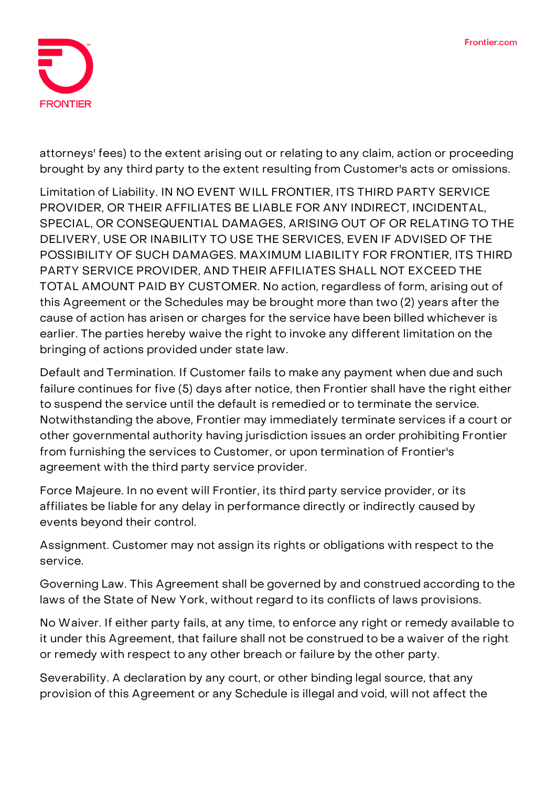

attorneys' fees) to the extent arising out or relating to any claim, action or proceeding brought by any third party to the extent resulting from Customer's acts or omissions.

**Limitation of Liability.** IN NO EVENT WILL FRONTIER, ITS THIRD PARTY SERVICE PROVIDER, OR THEIR AFFILIATES BE LIABLE FOR ANY INDIRECT, INCIDENTAL, SPECIAL, OR CONSEQUENTIAL DAMAGES, ARISING OUT OF OR RELATING TO THE DELIVERY, USE OR INABILITY TO USE THE SERVICES, EVEN IF ADVISED OF THE POSSIBILITY OF SUCH DAMAGES. MAXIMUM LIABILITY FOR FRONTIER, ITS THIRD PARTY SERVICE PROVIDER, AND THEIR AFFILIATES SHALL NOT EXCEED THE TOTAL AMOUNT PAID BY CUSTOMER. No action, regardless of form, arising out of this Agreement or the Schedules may be brought more than two (2) years after the cause of action has arisen or charges for the service have been billed whichever is earlier. The parties hereby waive the right to invoke any different limitation on the bringing of actions provided under state law.

**Default and Termination.** If Customer fails to make any payment when due and such failure continues for five (5) days after notice, then Frontier shall have the right either to suspend the service until the default is remedied or to terminate the service. Notwithstanding the above, Frontier may immediately terminate services if a court or other governmental authority having jurisdiction issues an order prohibiting Frontier from furnishing the services to Customer, or upon termination of Frontier's agreement with the third party service provider.

**Force Majeure.** In no event will Frontier, its third party service provider, or its affiliates be liable for any delay in performance directly or indirectly caused by events beyond their control.

**Assignment.** Customer may not assign its rights or obligations with respect to the service.

**Governing Law.** This Agreement shall be governed by and construed according to the laws of the State of New York, without regard to its conflicts of laws provisions.

**No Waiver.** If either party fails, at any time, to enforce any right or remedy available to it under this Agreement, that failure shall not be construed to be a waiver of the right or remedy with respect to any other breach or failure by the other party.

**Severability.** A declaration by any court, or other binding legal source, that any provision of this Agreement or any Schedule is illegal and void, will not affect the